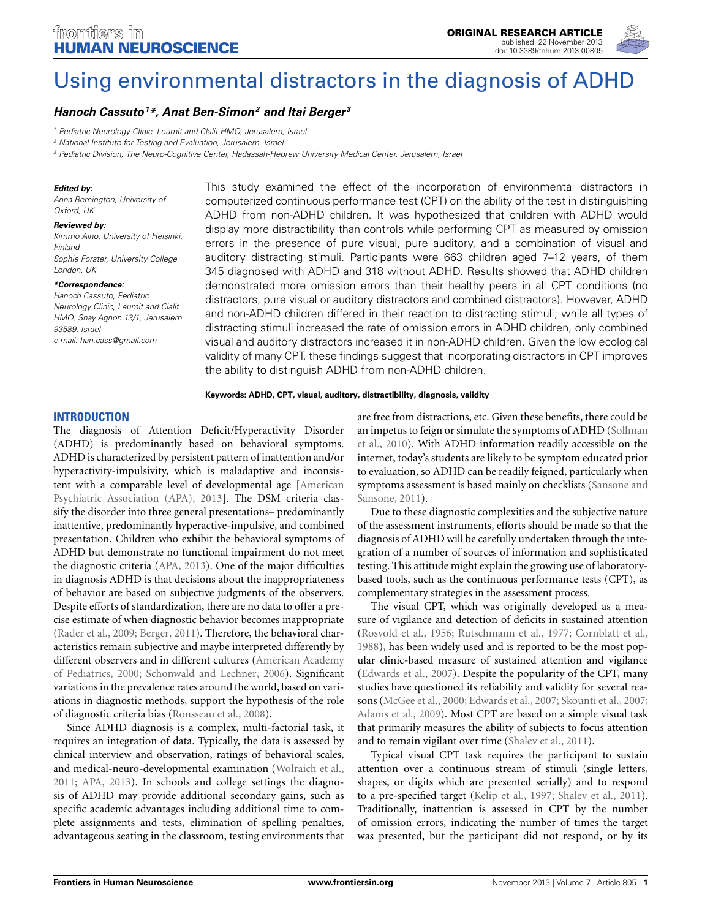

# [Using environmental distractors in the diagnosis of ADHD](http://www.frontiersin.org/journal/10.3389/fnhum.2013.00805/abstract)

## *[Hanoch Cassuto](http://www.frontiersin.org/people/u/115487)1 \*, [Anat Ben-Simon2](http://www.frontiersin.org/people/u/113317) and [Itai Berger](http://www.frontiersin.org/people/u/69549) <sup>3</sup>*

*<sup>1</sup> Pediatric Neurology Clinic, Leumit and Clalit HMO, Jerusalem, Israel*

*<sup>2</sup> National Institute for Testing and Evaluation, Jerusalem, Israel*

*<sup>3</sup> Pediatric Division, The Neuro-Cognitive Center, Hadassah-Hebrew University Medical Center, Jerusalem, Israel*

#### *Edited by:*

*Anna Remington, University of Oxford, UK*

#### *Reviewed by:*

*Kimmo Alho, University of Helsinki, Finland Sophie Forster, University College London, UK*

#### *\*Correspondence:*

*Hanoch Cassuto, Pediatric Neurology Clinic, Leumit and Clalit HMO, Shay Agnon 13/1, Jerusalem 93589, Israel e-mail: [han.cass@gmail.com](mailto:han.cass@gmail.com)*

This study examined the effect of the incorporation of environmental distractors in computerized continuous performance test (CPT) on the ability of the test in distinguishing ADHD from non-ADHD children. It was hypothesized that children with ADHD would display more distractibility than controls while performing CPT as measured by omission errors in the presence of pure visual, pure auditory, and a combination of visual and auditory distracting stimuli. Participants were 663 children aged 7–12 years, of them 345 diagnosed with ADHD and 318 without ADHD. Results showed that ADHD children demonstrated more omission errors than their healthy peers in all CPT conditions (no distractors, pure visual or auditory distractors and combined distractors). However, ADHD and non-ADHD children differed in their reaction to distracting stimuli; while all types of distracting stimuli increased the rate of omission errors in ADHD children, only combined visual and auditory distractors increased it in non-ADHD children. Given the low ecological validity of many CPT, these findings suggest that incorporating distractors in CPT improves the ability to distinguish ADHD from non-ADHD children.

#### **Keywords: ADHD, CPT, visual, auditory, distractibility, diagnosis, validity**

#### **INTRODUCTION**

The diagnosis of Attention Deficit/Hyperactivity Disorder (ADHD) is predominantly based on behavioral symptoms. ADHD is characterized by persistent pattern of inattention and/or hyperactivity-impulsivity, which is maladaptive and inconsistent with a comparable level [of](#page-7-0) [developmental](#page-7-0) [age](#page-7-0) [\[](#page-7-0)American Psychiatric Association (APA), [2013](#page-7-0)]. The DSM criteria classify the disorder into three general presentations– predominantly inattentive, predominantly hyperactive-impulsive, and combined presentation. Children who exhibit the behavioral symptoms of ADHD but demonstrate no functional impairment do not meet the diagnostic criteria [\(APA](#page-7-0), [2013\)](#page-7-0). One of the major difficulties in diagnosis ADHD is that decisions about the inappropriateness of behavior are based on subjective judgments of the observers. Despite efforts of standardization, there are no data to offer a precise estimate of when diagnostic behavior becomes inappropriate [\(Rader et al.](#page-7-1), [2009](#page-7-1); [Berger](#page-7-2), [2011](#page-7-2)). Therefore, the behavioral characteristics remain subjective and maybe interpreted differently by different obs[ervers](#page-6-0) [and](#page-6-0) [in](#page-6-0) [different](#page-6-0) [cultures](#page-6-0) [\(](#page-6-0)American Academy of Pediatrics, [2000;](#page-6-0) [Schonwald and Lechner, 2006\)](#page-8-0). Significant variations in the prevalence rates around the world, based on variations in diagnostic methods, support the hypothesis of the role of diagnostic criteria bias [\(Rousseau et al.](#page-7-3), [2008\)](#page-7-3).

Since ADHD diagnosis is a complex, multi-factorial task, it requires an integration of data. Typically, the data is assessed by clinical interview and observation, ratings of behavioral scales, and medical-neuro-developmental examination [\(Wolraich et al.,](#page-8-1) [2011](#page-8-1); [APA, 2013](#page-7-0)). In schools and college settings the diagnosis of ADHD may provide additional secondary gains, such as specific academic advantages including additional time to complete assignments and tests, elimination of spelling penalties, advantageous seating in the classroom, testing environments that

are free from distractions, etc. Given these benefits, there could be an i[mpetus to feign or simulate the symptoms of ADHD \(](#page-8-2)Sollman et al., [2010\)](#page-8-2). With ADHD information readily accessible on the internet, today's students are likely to be symptom educated prior to evaluation, so ADHD can be readily feigned, particularly when sympto[ms](#page-8-3) [assessment](#page-8-3) [is](#page-8-3) [based](#page-8-3) [mainly](#page-8-3) [on](#page-8-3) [checklists](#page-8-3) [\(](#page-8-3)Sansone and Sansone, [2011](#page-8-3)).

Due to these diagnostic complexities and the subjective nature of the assessment instruments, efforts should be made so that the diagnosis of ADHD will be carefully undertaken through the integration of a number of sources of information and sophisticated testing. This attitude might explain the growing use of laboratorybased tools, such as the continuous performance tests (CPT), as complementary strategies in the assessment process.

The visual CPT, which was originally developed as a measure of vigilance and detection of deficits in sustained attention [\(Rosvold et al.](#page-7-4), [1956](#page-7-4); [Rutschmann et al.](#page-7-5), [1977;](#page-7-5) [Cornblatt et al.,](#page-7-6) [1988](#page-7-6)), has been widely used and is reported to be the most popular clinic-based measure of sustained attention and vigilance [\(Edwards et al., 2007\)](#page-7-7). Despite the popularity of the CPT, many studies have questioned its reliability and validity for several reasons [\(McGee et al.](#page-7-8), [2000;](#page-7-8) [Edwards et al., 2007](#page-7-7); [Skounti et al.](#page-8-4), [2007;](#page-8-4) [Adams et al., 2009\)](#page-6-1). Most CPT are based on a simple visual task that primarily measures the ability of subjects to focus attention and to remain vigilant over time [\(Shalev et al., 2011\)](#page-8-5).

Typical visual CPT task requires the participant to sustain attention over a continuous stream of stimuli (single letters, shapes, or digits which are presented serially) and to respond to a pre-specified target [\(Kelip et al.](#page-7-9), [1997](#page-7-9); [Shalev et al.](#page-8-5), [2011](#page-8-5)). Traditionally, inattention is assessed in CPT by the number of omission errors, indicating the number of times the target was presented, but the participant did not respond, or by its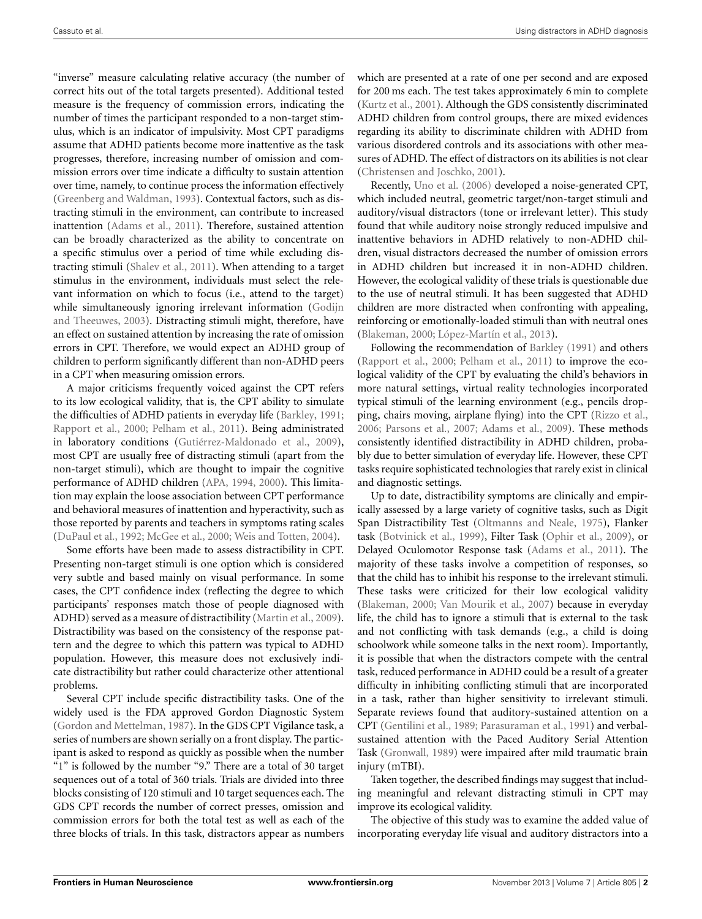"inverse" measure calculating relative accuracy (the number of correct hits out of the total targets presented). Additional tested measure is the frequency of commission errors, indicating the number of times the participant responded to a non-target stimulus, which is an indicator of impulsivity. Most CPT paradigms assume that ADHD patients become more inattentive as the task progresses, therefore, increasing number of omission and commission errors over time indicate a difficulty to sustain attention over time, namely, to continue process the information effectively [\(Greenberg and Waldman, 1993](#page-7-10)). Contextual factors, such as distracting stimuli in the environment, can contribute to increased inattention [\(Adams et al., 2011\)](#page-6-2). Therefore, sustained attention can be broadly characterized as the ability to concentrate on a specific stimulus over a period of time while excluding distracting stimuli [\(Shalev et al.](#page-8-5), [2011\)](#page-8-5). When attending to a target stimulus in the environment, individuals must select the relevant information on which to focus (i.e., attend to the target) while simulta[neously ignoring irrelevant information \(](#page-7-11)Godijn and Theeuwes, [2003](#page-7-11)). Distracting stimuli might, therefore, have an effect on sustained attention by increasing the rate of omission errors in CPT. Therefore, we would expect an ADHD group of children to perform significantly different than non-ADHD peers in a CPT when measuring omission errors.

A major criticisms frequently voiced against the CPT refers to its low ecological validity, that is, the CPT ability to simulate the difficulties of ADHD patients in everyday life [\(Barkley, 1991;](#page-7-12) [Rapport et al.](#page-7-13), [2000](#page-7-13); [Pelham et al.](#page-7-14), [2011](#page-7-14)). Being administrated in laboratory conditions [\(Gutiérrez-Maldonado et al.](#page-7-15), [2009](#page-7-15)), most CPT are usually free of distracting stimuli (apart from the non-target stimuli), which are thought to impair the cognitive performance of ADHD children [\(APA](#page-6-3), [1994,](#page-6-3) [2000\)](#page-6-4). This limitation may explain the loose association between CPT performance and behavioral measures of inattention and hyperactivity, such as those reported by parents and teachers in symptoms rating scales [\(DuPaul et al., 1992](#page-7-16); [McGee et al., 2000](#page-7-8); [Weis and Totten, 2004\)](#page-8-6).

Some efforts have been made to assess distractibility in CPT. Presenting non-target stimuli is one option which is considered very subtle and based mainly on visual performance. In some cases, the CPT confidence index (reflecting the degree to which participants' responses match those of people diagnosed with ADHD) served as a measure of distractibility [\(Martin et al., 2009](#page-7-17)). Distractibility was based on the consistency of the response pattern and the degree to which this pattern was typical to ADHD population. However, this measure does not exclusively indicate distractibility but rather could characterize other attentional problems.

Several CPT include specific distractibility tasks. One of the widely used is the FDA approved Gordon Diagnostic System [\(Gordon and Mettelman](#page-7-18), [1987\)](#page-7-18). In the GDS CPT Vigilance task, a series of numbers are shown serially on a front display. The participant is asked to respond as quickly as possible when the number "1" is followed by the number "9." There are a total of 30 target sequences out of a total of 360 trials. Trials are divided into three blocks consisting of 120 stimuli and 10 target sequences each. The GDS CPT records the number of correct presses, omission and commission errors for both the total test as well as each of the three blocks of trials. In this task, distractors appear as numbers

which are presented at a rate of one per second and are exposed for 200 ms each. The test takes approximately 6 min to complete [\(Kurtz et al., 2001](#page-7-19)). Although the GDS consistently discriminated ADHD children from control groups, there are mixed evidences regarding its ability to discriminate children with ADHD from various disordered controls and its associations with other measures of ADHD. The effect of distractors on its abilities is not clear [\(Christensen and Joschko](#page-7-20), [2001\)](#page-7-20).

Recently, [Uno et al.](#page-8-7) [\(2006\)](#page-8-7) developed a noise-generated CPT, which included neutral, geometric target/non-target stimuli and auditory/visual distractors (tone or irrelevant letter). This study found that while auditory noise strongly reduced impulsive and inattentive behaviors in ADHD relatively to non-ADHD children, visual distractors decreased the number of omission errors in ADHD children but increased it in non-ADHD children. However, the ecological validity of these trials is questionable due to the use of neutral stimuli. It has been suggested that ADHD children are more distracted when confronting with appealing, reinforcing or emotionally-loaded stimuli than with neutral ones [\(Blakeman](#page-7-21), [2000](#page-7-21); [López-Martín et al., 2013](#page-7-22)).

Following the recommendation of [Barkley](#page-7-12) [\(1991](#page-7-12)) and others [\(Rapport et al., 2000;](#page-7-13) [Pelham et al.](#page-7-14), [2011](#page-7-14)) to improve the ecological validity of the CPT by evaluating the child's behaviors in more natural settings, virtual reality technologies incorporated typical stimuli of the learning environment (e.g., pencils dropping, chairs moving, airplane flying) into the CPT [\(Rizzo et al.](#page-7-23), [2006](#page-7-23); [Parsons et al.](#page-7-24), [2007](#page-7-24); [Adams et al., 2009\)](#page-6-1). These methods consistently identified distractibility in ADHD children, probably due to better simulation of everyday life. However, these CPT tasks require sophisticated technologies that rarely exist in clinical and diagnostic settings.

Up to date, distractibility symptoms are clinically and empirically assessed by a large variety of cognitive tasks, such as Digit Span Distractibility Test [\(Oltmanns and Neale, 1975](#page-7-25)), Flanker task [\(Botvinick et al., 1999](#page-7-26)), Filter Task [\(Ophir et al., 2009](#page-7-27)), or Delayed Oculomotor Response task [\(Adams et al., 2011](#page-6-2)). The majority of these tasks involve a competition of responses, so that the child has to inhibit his response to the irrelevant stimuli. These tasks were criticized for their low ecological validity [\(Blakeman](#page-7-21), [2000](#page-7-21); [Van Mourik et al.](#page-8-8), [2007](#page-8-8)) because in everyday life, the child has to ignore a stimuli that is external to the task and not conflicting with task demands (e.g., a child is doing schoolwork while someone talks in the next room). Importantly, it is possible that when the distractors compete with the central task, reduced performance in ADHD could be a result of a greater difficulty in inhibiting conflicting stimuli that are incorporated in a task, rather than higher sensitivity to irrelevant stimuli. Separate reviews found that auditory-sustained attention on a CPT [\(Gentilini et al.](#page-7-28), [1989](#page-7-28); [Parasuraman et al.](#page-7-29), [1991\)](#page-7-29) and verbalsustained attention with the Paced Auditory Serial Attention Task [\(Gronwall, 1989\)](#page-7-30) were impaired after mild traumatic brain injury (mTBI).

Taken together, the described findings may suggest that including meaningful and relevant distracting stimuli in CPT may improve its ecological validity.

The objective of this study was to examine the added value of incorporating everyday life visual and auditory distractors into a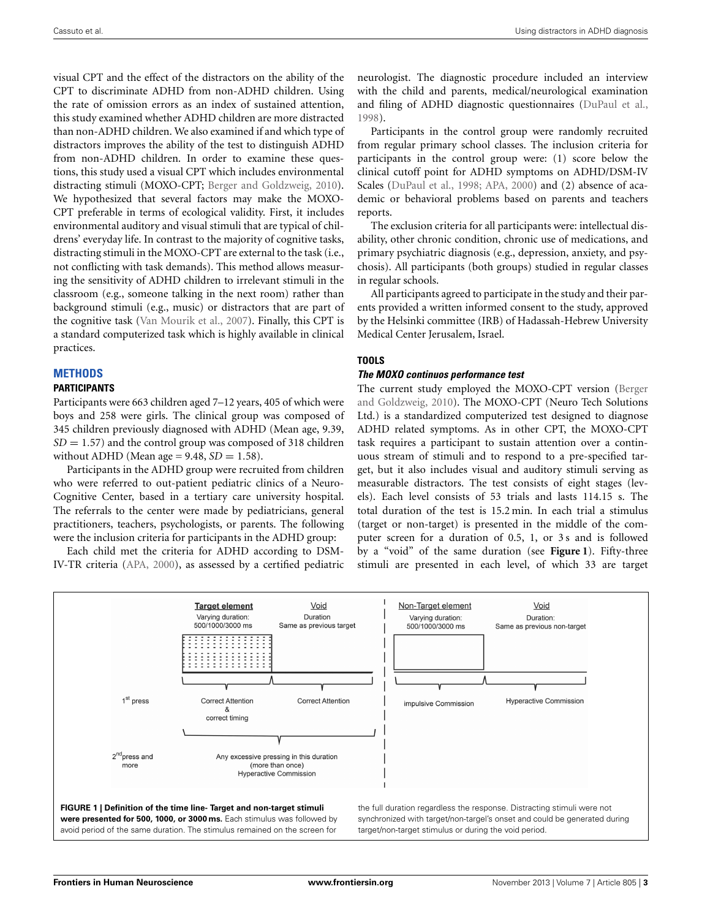visual CPT and the effect of the distractors on the ability of the CPT to discriminate ADHD from non-ADHD children. Using the rate of omission errors as an index of sustained attention, this study examined whether ADHD children are more distracted than non-ADHD children. We also examined if and which type of distractors improves the ability of the test to distinguish ADHD from non-ADHD children. In order to examine these questions, this study used a visual CPT which includes environmental distracting stimuli (MOXO-CPT; [Berger and Goldzweig](#page-7-31), [2010](#page-7-31)). We hypothesized that several factors may make the MOXO-CPT preferable in terms of ecological validity. First, it includes environmental auditory and visual stimuli that are typical of childrens' everyday life. In contrast to the majority of cognitive tasks, distracting stimuli in the MOXO-CPT are external to the task (i.e., not conflicting with task demands). This method allows measuring the sensitivity of ADHD children to irrelevant stimuli in the classroom (e.g., someone talking in the next room) rather than background stimuli (e.g., music) or distractors that are part of the cognitive task [\(Van Mourik et al., 2007](#page-8-8)). Finally, this CPT is a standard computerized task which is highly available in clinical practices.

#### **METHODS PARTICIPANTS**

Participants were 663 children aged 7–12 years, 405 of which were boys and 258 were girls. The clinical group was composed of 345 children previously diagnosed with ADHD (Mean age, 9.39,  $SD = 1.57$ ) and the control group was composed of 318 children without ADHD (Mean age  $= 9.48$ ,  $SD = 1.58$ ).

Participants in the ADHD group were recruited from children who were referred to out-patient pediatric clinics of a Neuro-Cognitive Center, based in a tertiary care university hospital. The referrals to the center were made by pediatricians, general practitioners, teachers, psychologists, or parents. The following were the inclusion criteria for participants in the ADHD group:

Each child met the criteria for ADHD according to DSM-IV-TR criteria [\(APA, 2000](#page-6-4)), as assessed by a certified pediatric neurologist. The diagnostic procedure included an interview with the child and parents, medical/neurological examination and filing of ADHD diagnostic questionnaires [\(DuPaul et al.,](#page-7-32) [1998](#page-7-32)).

Participants in the control group were randomly recruited from regular primary school classes. The inclusion criteria for participants in the control group were: (1) score below the clinical cutoff point for ADHD symptoms on ADHD/DSM-IV Scales [\(DuPaul et al., 1998](#page-7-32); [APA, 2000](#page-6-4)) and (2) absence of academic or behavioral problems based on parents and teachers reports.

The exclusion criteria for all participants were: intellectual disability, other chronic condition, chronic use of medications, and primary psychiatric diagnosis (e.g., depression, anxiety, and psychosis). All participants (both groups) studied in regular classes in regular schools.

All participants agreed to participate in the study and their parents provided a written informed consent to the study, approved by the Helsinki committee (IRB) of Hadassah-Hebrew University Medical Center Jerusalem, Israel.

## **TOOLS**

#### *The MOXO continuos performance test*

The current st[udy employed the MOXO-CPT version \(](#page-7-31)Berger and Goldzweig, [2010](#page-7-31)). The MOXO-CPT (Neuro Tech Solutions Ltd.) is a standardized computerized test designed to diagnose ADHD related symptoms. As in other CPT, the MOXO-CPT task requires a participant to sustain attention over a continuous stream of stimuli and to respond to a pre-specified target, but it also includes visual and auditory stimuli serving as measurable distractors. The test consists of eight stages (levels). Each level consists of 53 trials and lasts 114.15 s. The total duration of the test is 15.2 min. In each trial a stimulus (target or non-target) is presented in the middle of the computer screen for a duration of 0.5, 1, or 3s and is followed by a "void" of the same duration (see **[Figure 1](#page-2-0)**). Fifty-three stimuli are presented in each level, of which 33 are target

<span id="page-2-0"></span>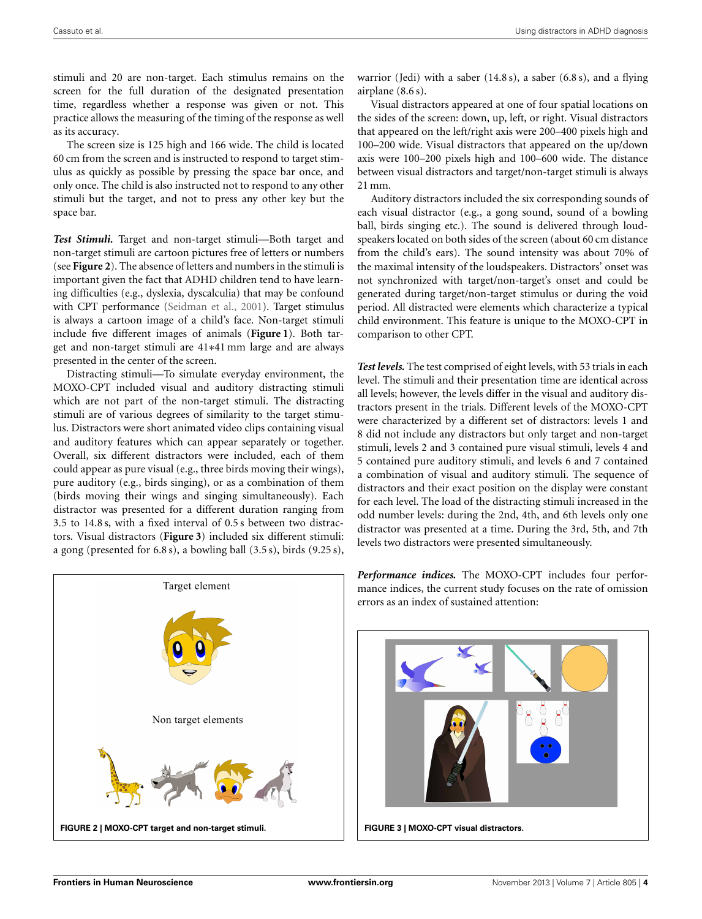stimuli and 20 are non-target. Each stimulus remains on the screen for the full duration of the designated presentation time, regardless whether a response was given or not. This practice allows the measuring of the timing of the response as well as its accuracy.

The screen size is 125 high and 166 wide. The child is located 60 cm from the screen and is instructed to respond to target stimulus as quickly as possible by pressing the space bar once, and only once. The child is also instructed not to respond to any other stimuli but the target, and not to press any other key but the space bar.

*Test Stimuli.* Target and non-target stimuli—Both target and non-target stimuli are cartoon pictures free of letters or numbers (see **[Figure 2](#page-3-0)**). The absence of letters and numbers in the stimuli is important given the fact that ADHD children tend to have learning difficulties (e.g., dyslexia, dyscalculia) that may be confound with CPT performance [\(Seidman et al., 2001\)](#page-8-9). Target stimulus is always a cartoon image of a child's face. Non-target stimuli include five different images of animals (**[Figure 1](#page-2-0)**). Both target and non-target stimuli are 41∗41 mm large and are always presented in the center of the screen.

Distracting stimuli—To simulate everyday environment, the MOXO-CPT included visual and auditory distracting stimuli which are not part of the non-target stimuli. The distracting stimuli are of various degrees of similarity to the target stimulus. Distractors were short animated video clips containing visual and auditory features which can appear separately or together. Overall, six different distractors were included, each of them could appear as pure visual (e.g., three birds moving their wings), pure auditory (e.g., birds singing), or as a combination of them (birds moving their wings and singing simultaneously). Each distractor was presented for a different duration ranging from 3.5 to 14.8 s, with a fixed interval of 0.5 s between two distractors. Visual distractors (**[Figure 3](#page-3-1)**) included six different stimuli: a gong (presented for 6.8 s), a bowling ball (3.5 s), birds (9.25 s),

<span id="page-3-0"></span>

warrior (Jedi) with a saber (14.8 s), a saber (6.8 s), and a flying airplane (8.6 s).

Visual distractors appeared at one of four spatial locations on the sides of the screen: down, up, left, or right. Visual distractors that appeared on the left/right axis were 200–400 pixels high and 100–200 wide. Visual distractors that appeared on the up/down axis were 100–200 pixels high and 100–600 wide. The distance between visual distractors and target/non-target stimuli is always 21 mm.

Auditory distractors included the six corresponding sounds of each visual distractor (e.g., a gong sound, sound of a bowling ball, birds singing etc.). The sound is delivered through loudspeakers located on both sides of the screen (about 60 cm distance from the child's ears). The sound intensity was about 70% of the maximal intensity of the loudspeakers. Distractors' onset was not synchronized with target/non-target's onset and could be generated during target/non-target stimulus or during the void period. All distracted were elements which characterize a typical child environment. This feature is unique to the MOXO-CPT in comparison to other CPT.

*Test levels.* The test comprised of eight levels, with 53 trials in each level. The stimuli and their presentation time are identical across all levels; however, the levels differ in the visual and auditory distractors present in the trials. Different levels of the MOXO-CPT were characterized by a different set of distractors: levels 1 and 8 did not include any distractors but only target and non-target stimuli, levels 2 and 3 contained pure visual stimuli, levels 4 and 5 contained pure auditory stimuli, and levels 6 and 7 contained a combination of visual and auditory stimuli. The sequence of distractors and their exact position on the display were constant for each level. The load of the distracting stimuli increased in the odd number levels: during the 2nd, 4th, and 6th levels only one distractor was presented at a time. During the 3rd, 5th, and 7th levels two distractors were presented simultaneously.

<span id="page-3-1"></span>

*Performance indices.* The MOXO-CPT includes four performance indices, the current study focuses on the rate of omission errors as an index of sustained attention: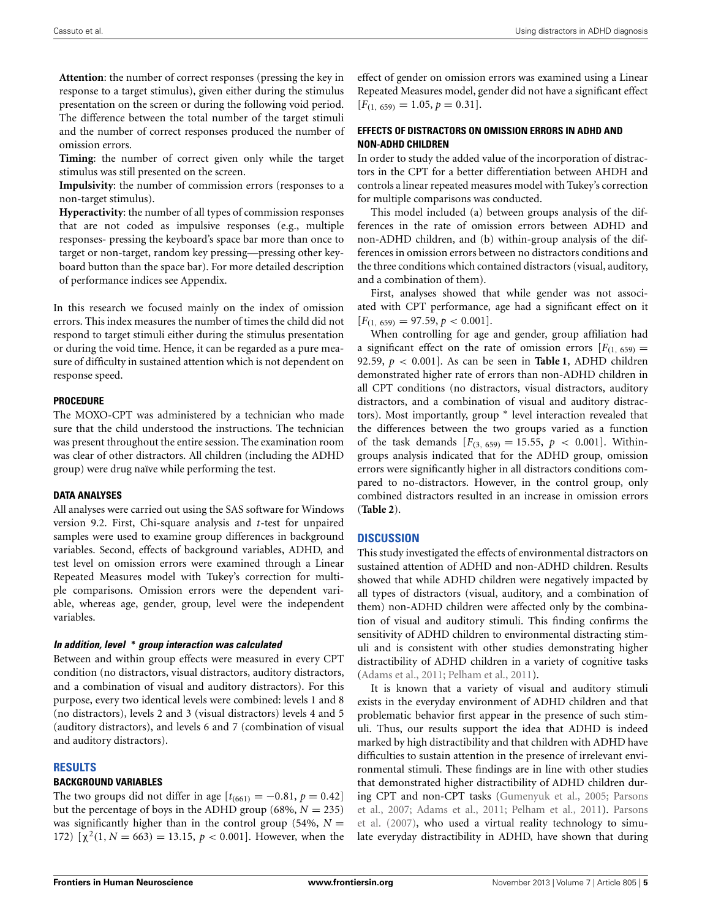**Attention**: the number of correct responses (pressing the key in response to a target stimulus), given either during the stimulus presentation on the screen or during the following void period. The difference between the total number of the target stimuli and the number of correct responses produced the number of omission errors.

**Timing**: the number of correct given only while the target stimulus was still presented on the screen.

**Impulsivity**: the number of commission errors (responses to a non-target stimulus).

**Hyperactivity**: the number of all types of commission responses that are not coded as impulsive responses (e.g., multiple responses- pressing the keyboard's space bar more than once to target or non-target, random key pressing—pressing other keyboard button than the space bar). For more detailed description of performance indices see Appendix.

In this research we focused mainly on the index of omission errors. This index measures the number of times the child did not respond to target stimuli either during the stimulus presentation or during the void time. Hence, it can be regarded as a pure measure of difficulty in sustained attention which is not dependent on response speed.

#### **PROCEDURE**

The MOXO-CPT was administered by a technician who made sure that the child understood the instructions. The technician was present throughout the entire session. The examination room was clear of other distractors. All children (including the ADHD group) were drug naïve while performing the test.

#### **DATA ANALYSES**

All analyses were carried out using the SAS software for Windows version 9.2. First, Chi-square analysis and *t*-test for unpaired samples were used to examine group differences in background variables. Second, effects of background variables, ADHD, and test level on omission errors were examined through a Linear Repeated Measures model with Tukey's correction for multiple comparisons. Omission errors were the dependent variable, whereas age, gender, group, level were the independent variables.

#### *In addition, level* **∗** *group interaction was calculated*

Between and within group effects were measured in every CPT condition (no distractors, visual distractors, auditory distractors, and a combination of visual and auditory distractors). For this purpose, every two identical levels were combined: levels 1 and 8 (no distractors), levels 2 and 3 (visual distractors) levels 4 and 5 (auditory distractors), and levels 6 and 7 (combination of visual and auditory distractors).

#### **RESULTS**

## **BACKGROUND VARIABLES**

The two groups did not differ in age  $[t_{(661)} = -0.81, p = 0.42]$ but the percentage of boys in the ADHD group (68%,  $N = 235$ ) was significantly higher than in the control group (54%,  $N =$ 172)  $[\chi^2(1, N = 663) = 13.15, p < 0.001]$ . However, when the effect of gender on omission errors was examined using a Linear Repeated Measures model, gender did not have a significant effect  $[F_{(1, 659)} = 1.05, p = 0.31].$ 

## **EFFECTS OF DISTRACTORS ON OMISSION ERRORS IN ADHD AND NON-ADHD CHILDREN**

In order to study the added value of the incorporation of distractors in the CPT for a better differentiation between AHDH and controls a linear repeated measures model with Tukey's correction for multiple comparisons was conducted.

This model included (a) between groups analysis of the differences in the rate of omission errors between ADHD and non-ADHD children, and (b) within-group analysis of the differences in omission errors between no distractors conditions and the three conditions which contained distractors (visual, auditory, and a combination of them).

First, analyses showed that while gender was not associated with CPT performance, age had a significant effect on it  $[F_{(1, 659)} = 97.59, p < 0.001].$ 

When controlling for age and gender, group affiliation had a significant effect on the rate of omission errors  $[F(1, 659)]$ 92.59,  $p < 0.001$ ]. As can be seen in **[Table 1](#page-5-0)**, ADHD children demonstrated higher rate of errors than non-ADHD children in all CPT conditions (no distractors, visual distractors, auditory distractors, and a combination of visual and auditory distractors). Most importantly, group ∗ level interaction revealed that the differences between the two groups varied as a function of the task demands  $[F_{(3, 659)} = 15.55, p < 0.001]$ . Withingroups analysis indicated that for the ADHD group, omission errors were significantly higher in all distractors conditions compared to no-distractors. However, in the control group, only combined distractors resulted in an increase in omission errors (**[Table 2](#page-5-1)**).

## **DISCUSSION**

This study investigated the effects of environmental distractors on sustained attention of ADHD and non-ADHD children. Results showed that while ADHD children were negatively impacted by all types of distractors (visual, auditory, and a combination of them) non-ADHD children were affected only by the combination of visual and auditory stimuli. This finding confirms the sensitivity of ADHD children to environmental distracting stimuli and is consistent with other studies demonstrating higher distractibility of ADHD children in a variety of cognitive tasks [\(Adams et al.](#page-6-2), [2011;](#page-6-2) [Pelham et al., 2011](#page-7-14)).

It is known that a variety of visual and auditory stimuli exists in the everyday environment of ADHD children and that problematic behavior first appear in the presence of such stimuli. Thus, our results support the idea that ADHD is indeed marked by high distractibility and that children with ADHD have difficulties to sustain attention in the presence of irrelevant environmental stimuli. These findings are in line with other studies that demonstrated higher distractibility of ADHD children during [CPT and non-CPT tasks](#page-7-24) [\(Gumenyuk et al.](#page-7-33)[,](#page-7-24) [2005](#page-7-33)[;](#page-7-24) Parsons et al.[, 2007;](#page-7-24) [Adams et al.](#page-6-2)[,](#page-7-24) [2011](#page-6-2)[;](#page-7-24) [Pelham et al.](#page-7-14)[,](#page-7-24) [2011](#page-7-14)[\).](#page-7-24) Parsons et al. [\(2007\)](#page-7-24), who used a virtual reality technology to simulate everyday distractibility in ADHD, have shown that during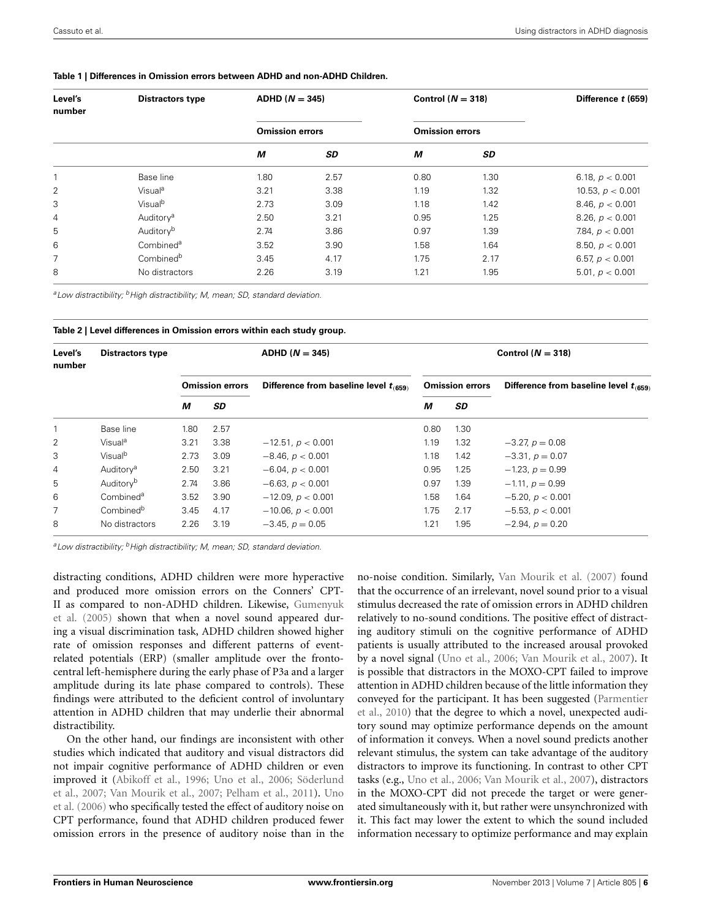| Level's<br>number | <b>Distractors type</b> | $ADHD (N = 345)$<br><b>Omission errors</b> |      | Control $(N = 318)$    |      | Difference t (659) |
|-------------------|-------------------------|--------------------------------------------|------|------------------------|------|--------------------|
|                   |                         |                                            |      | <b>Omission errors</b> |      |                    |
|                   |                         | М                                          | SD   | М                      | SD   |                    |
|                   | Base line               | 1.80                                       | 2.57 | 0.80                   | 1.30 | 6.18, $p < 0.001$  |
| 2                 | Visual <sup>a</sup>     | 3.21                                       | 3.38 | 1.19                   | 1.32 | 10.53, $p < 0.001$ |
| 3                 | Visualb                 | 2.73                                       | 3.09 | 1.18                   | 1.42 | 8.46, $p < 0.001$  |
| 4                 | Auditory <sup>a</sup>   | 2.50                                       | 3.21 | 0.95                   | 1.25 | 8.26, $p < 0.001$  |
| 5                 | Auditoryb               | 2.74                                       | 3.86 | 0.97                   | 1.39 | 7.84, $p < 0.001$  |
| 6                 | Combined <sup>a</sup>   | 3.52                                       | 3.90 | 1.58                   | 1.64 | 8.50, $p < 0.001$  |
| 7                 | Combined <sup>b</sup>   | 3.45                                       | 4.17 | 1.75                   | 2.17 | 6.57, $p < 0.001$  |
| 8                 | No distractors          | 2.26                                       | 3.19 | 1.21                   | 1.95 | 5.01, $p < 0.001$  |

#### <span id="page-5-0"></span>**Table 1 | Differences in Omission errors between ADHD and non-ADHD Children.**

*aLow distractibility; bHigh distractibility; M, mean; SD, standard deviation.*

<span id="page-5-1"></span>

| Table 2   Level differences in Omission errors within each study group. |  |  |
|-------------------------------------------------------------------------|--|--|
|-------------------------------------------------------------------------|--|--|

| Level's<br>number | <b>Distractors type</b> | $ADHD (N = 345)$       |      |                                            | Control ( $N = 318$ )  |                   |                                            |  |
|-------------------|-------------------------|------------------------|------|--------------------------------------------|------------------------|-------------------|--------------------------------------------|--|
|                   |                         | <b>Omission errors</b> |      | Difference from baseline level $t_{(659)}$ | <b>Omission errors</b> |                   | Difference from baseline level $t_{(659)}$ |  |
|                   |                         | М                      | SD   |                                            | М                      | SD                |                                            |  |
|                   | Base line               | 1.80                   | 2.57 |                                            | 0.80                   | 1.30 <sub>2</sub> |                                            |  |
| 2                 | Visual <sup>a</sup>     | 3.21                   | 3.38 | $-12.51, p < 0.001$                        | 1.19                   | 1.32              | $-3.27, p = 0.08$                          |  |
| 3                 | Visual <sup>b</sup>     | 2.73                   | 3.09 | $-8.46, p < 0.001$                         | 1.18                   | 1.42              | $-3.31, p = 0.07$                          |  |
| $\overline{4}$    | Auditory <sup>a</sup>   | 2.50                   | 3.21 | $-6.04, p < 0.001$                         | 0.95                   | 1.25              | $-1.23, p = 0.99$                          |  |
| 5                 | Auditory <sup>b</sup>   | 2.74                   | 3.86 | $-6.63, p < 0.001$                         | 0.97                   | 1.39              | $-1.11, p = 0.99$                          |  |
| 6                 | Combined <sup>a</sup>   | 3.52                   | 3.90 | $-12.09, p < 0.001$                        | 1.58                   | 1.64              | $-5.20, p < 0.001$                         |  |
|                   | Combined <sup>b</sup>   | 3.45                   | 4.17 | $-10.06, p < 0.001$                        | 1.75                   | 2.17              | $-5.53, p < 0.001$                         |  |
| 8                 | No distractors          | 2.26                   | 3.19 | $-3.45, p = 0.05$                          | 1.21                   | 1.95              | $-2.94, p = 0.20$                          |  |

<sup>a</sup> Low distractibility; <sup>b</sup> High distractibility; M, mean; SD, standard deviation.

distracting conditions, ADHD children were more hyperactive and produced more omission errors on the Conners' CPT-II as [compared to non-ADHD children. Likewise,](#page-7-33) Gumenyuk et al. [\(2005\)](#page-7-33) shown that when a novel sound appeared during a visual discrimination task, ADHD children showed higher rate of omission responses and different patterns of eventrelated potentials (ERP) (smaller amplitude over the frontocentral left-hemisphere during the early phase of P3a and a larger amplitude during its late phase compared to controls). These findings were attributed to the deficient control of involuntary attention in ADHD children that may underlie their abnormal distractibility.

On the other hand, our findings are inconsistent with other studies which indicated that auditory and visual distractors did not impair cognitive performance of ADHD children or even impr[oved it](#page-8-10) [\(Abikoff et al., 1996](#page-6-5)[;](#page-8-10) [Uno et al.](#page-8-7)[,](#page-8-10) [2006](#page-8-7)[;](#page-8-10) Söderlund et al[.,](#page-8-7) [2007](#page-8-10)[;](#page-8-7) [Van Mourik et al., 2007](#page-8-8)[;](#page-8-7) [Pelham et al.](#page-7-14)[,](#page-8-7) [2011](#page-7-14)[\).](#page-8-7) Uno et al. [\(2006\)](#page-8-7) who specifically tested the effect of auditory noise on CPT performance, found that ADHD children produced fewer omission errors in the presence of auditory noise than in the

no-noise condition. Similarly, [Van Mourik et al.](#page-8-8) [\(2007](#page-8-8)) found that the occurrence of an irrelevant, novel sound prior to a visual stimulus decreased the rate of omission errors in ADHD children relatively to no-sound conditions. The positive effect of distracting auditory stimuli on the cognitive performance of ADHD patients is usually attributed to the increased arousal provoked by a novel signal [\(Uno et al.](#page-8-7), [2006](#page-8-7); [Van Mourik et al.](#page-8-8), [2007\)](#page-8-8). It is possible that distractors in the MOXO-CPT failed to improve attention in ADHD children because of the little information they conv[eyed for the participant. It has been suggested \(](#page-7-34)Parmentier et al., [2010](#page-7-34)) that the degree to which a novel, unexpected auditory sound may optimize performance depends on the amount of information it conveys. When a novel sound predicts another relevant stimulus, the system can take advantage of the auditory distractors to improve its functioning. In contrast to other CPT tasks (e.g., [Uno et al.](#page-8-7), [2006](#page-8-7); [Van Mourik et al.](#page-8-8), [2007](#page-8-8)), distractors in the MOXO-CPT did not precede the target or were generated simultaneously with it, but rather were unsynchronized with it. This fact may lower the extent to which the sound included information necessary to optimize performance and may explain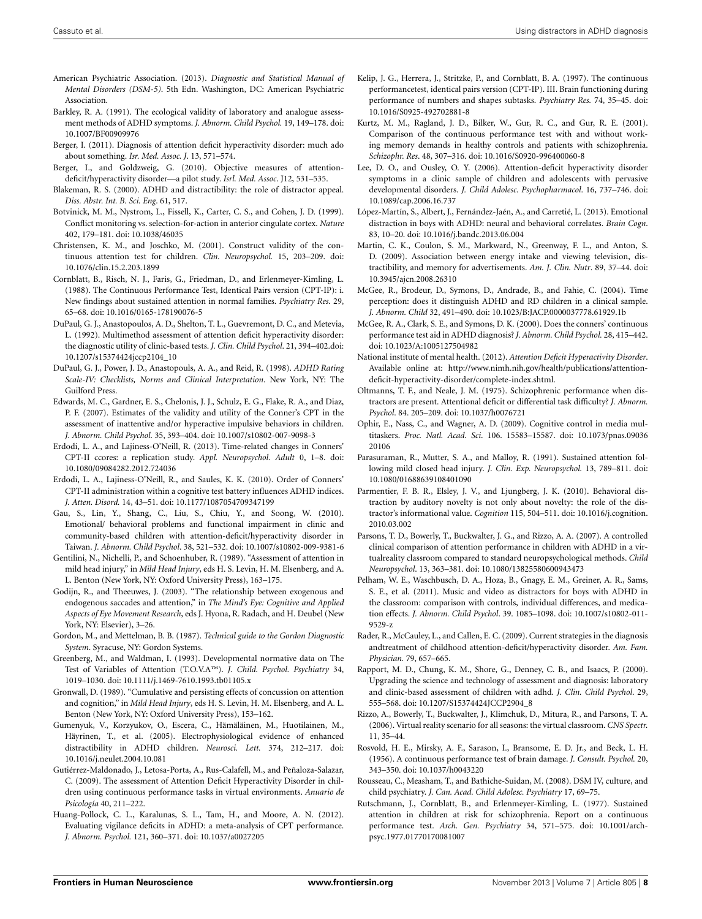- <span id="page-7-0"></span>American Psychiatric Association. (2013). *Diagnostic and Statistical Manual of Mental Disorders (DSM-5)*. 5th Edn. Washington, DC: American Psychiatric Association.
- <span id="page-7-12"></span>Barkley, R. A. (1991). The ecological validity of laboratory and analogue assessment methods of ADHD symptoms. *J. Abnorm. Child Psychol.* 19, 149–178. doi: 10.1007/BF00909976
- <span id="page-7-2"></span>Berger, I. (2011). Diagnosis of attention deficit hyperactivity disorder: much ado about something. *Isr. Med. Assoc. J*. 13, 571–574.
- <span id="page-7-31"></span>Berger, I., and Goldzweig, G. (2010). Objective measures of attentiondeficit/hyperactivity disorder—a pilot study. *Isrl. Med. Assoc*. J12, 531–535.
- <span id="page-7-21"></span>Blakeman, R. S. (2000). ADHD and distractibility: the role of distractor appeal. *Diss. Abstr. Int. B. Sci. Eng*. 61, 517.
- <span id="page-7-26"></span>Botvinick, M. M., Nystrom, L., Fissell, K., Carter, C. S., and Cohen, J. D. (1999). Conflict monitoring vs. selection-for-action in anterior cingulate cortex. *Nature* 402, 179–181. doi: 10.1038/46035
- <span id="page-7-20"></span>Christensen, K. M., and Joschko, M. (2001). Construct validity of the continuous attention test for children. *Clin. Neuropsychol.* 15, 203–209. doi: 10.1076/clin.15.2.203.1899
- <span id="page-7-6"></span>Cornblatt, B., Risch, N. J., Faris, G., Friedman, D., and Erlenmeyer-Kimling, L. (1988). The Continuous Performance Test, Identical Pairs version (CPT-IP): i. New findings about sustained attention in normal families. *Psychiatry Res*. 29, 65–68. doi: 10.1016/0165-178190076-5
- <span id="page-7-16"></span>DuPaul, G. J., Anastopoulos, A. D., Shelton, T. L., Guevremont, D. C., and Metevia, L. (1992). Multimethod assessment of attention deficit hyperactivity disorder: the diagnostic utility of clinic-based tests. *J. Clin. Child Psychol*. 21, 394–402.doi: 10.1207/s15374424jccp2104\_10
- <span id="page-7-32"></span>DuPaul, G. J., Power, J. D., Anastopouls, A. A., and Reid, R. (1998). *ADHD Rating Scale-IV: Checklists, Norms and Clinical Interpretation*. New York, NY: The Guilford Press.
- <span id="page-7-7"></span>Edwards, M. C., Gardner, E. S., Chelonis, J. J., Schulz, E. G., Flake, R. A., and Diaz, P. F. (2007). Estimates of the validity and utility of the Conner's CPT in the assessment of inattentive and/or hyperactive impulsive behaviors in children. *J. Abnorm. Child Psychol.* 35, 393–404. doi: 10.1007/s10802-007-9098-3
- Erdodi, L. A., and Lajiness-O'Neill, R. (2013). Time-related changes in Conners' CPT-II ccores: a replication study. *Appl. Neuropsychol. Adult* 0, 1–8. doi: 10.1080/09084282.2012.724036
- Erdodi, L. A., Lajiness-O'Neill, R., and Saules, K. K. (2010). Order of Conners' CPT-II administration within a cognitive test battery influences ADHD indices. *J. Atten. Disord.* 14, 43–51. doi: 10.1177/1087054709347199
- Gau, S., Lin, Y., Shang, C., Liu, S., Chiu, Y., and Soong, W. (2010). Emotional/ behavioral problems and functional impairment in clinic and community-based children with attention-deficit/hyperactivity disorder in Taiwan. *J. Abnorm. Child Psychol*. 38, 521–532. doi: 10.1007/s10802-009-9381-6
- <span id="page-7-28"></span>Gentilini, N., Nichelli, P., and Schoenhuber, R. (1989). "Assessment of attention in mild head injury," in *Mild Head Injury*, eds H. S. Levin, H. M. Elsenberg, and A. L. Benton (New York, NY: Oxford University Press), 163–175.
- <span id="page-7-11"></span>Godijn, R., and Theeuwes, J. (2003). "The relationship between exogenous and endogenous saccades and attention," in *The Mind's Eye: Cognitive and Applied Aspects of Eye Movement Research*, eds J. Hyona, R. Radach, and H. Deubel (New York, NY: Elsevier), 3–26.
- <span id="page-7-18"></span>Gordon, M., and Mettelman, B. B. (1987). *Technical guide to the Gordon Diagnostic System*. Syracuse, NY: Gordon Systems.
- <span id="page-7-10"></span>Greenberg, M., and Waldman, I. (1993). Developmental normative data on The Test of Variables of Attention (T.O.V.A™). *J. Child. Psychol. Psychiatry* 34, 1019–1030. doi: 10.1111/j.1469-7610.1993.tb01105.x
- <span id="page-7-30"></span>Gronwall, D. (1989). "Cumulative and persisting effects of concussion on attention and cognition," in *Mild Head Injury*, eds H. S. Levin, H. M. Elsenberg, and A. L. Benton (New York, NY: Oxford University Press), 153–162.
- <span id="page-7-33"></span>Gumenyuk, V., Korzyukov, O., Escera, C., Hämäläinen, M., Huotilainen, M., Häyrinen, T., et al. (2005). Electrophysiological evidence of enhanced distractibility in ADHD children. *Neurosci. Lett.* 374, 212–217. doi: 10.1016/j.neulet.2004.10.081
- <span id="page-7-15"></span>Gutiérrez-Maldonado, J., Letosa-Porta, A., Rus-Calafell, M., and Peñaloza-Salazar, C. (2009). The assessment of Attention Deficit Hyperactivity Disorder in children using continuous performance tasks in virtual environments. *Anuario de Psicología* 40, 211–222.
- Huang-Pollock, C. L., Karalunas, S. L., Tam, H., and Moore, A. N. (2012). Evaluating vigilance deficits in ADHD: a meta-analysis of CPT performance. *J. Abnorm. Psychol.* 121, 360–371. doi: 10.1037/a0027205
- <span id="page-7-9"></span>Kelip, J. G., Herrera, J., Stritzke, P., and Cornblatt, B. A. (1997). The continuous performancetest, identical pairs version (CPT-IP). III. Brain functioning during performance of numbers and shapes subtasks. *Psychiatry Res.* 74, 35–45. doi: 10.1016/S0925-492702881-8
- <span id="page-7-19"></span>Kurtz, M. M., Ragland, J. D., Bilker, W., Gur, R. C., and Gur, R. E. (2001). Comparison of the continuous performance test with and without working memory demands in healthy controls and patients with schizophrenia. *Schizophr. Res*. 48, 307–316. doi: 10.1016/S0920-996400060-8
- Lee, D. O., and Ousley, O. Y. (2006). Attention-deficit hyperactivity disorder symptoms in a clinic sample of children and adolescents with pervasive developmental disorders. *J. Child Adolesc. Psychopharmacol*. 16, 737–746. doi: 10.1089/cap.2006.16.737
- <span id="page-7-22"></span>López-Martín, S., Albert, J., Fernández-Jaén, A., and Carretié, L. (2013). Emotional distraction in boys with ADHD: neural and behavioral correlates. *Brain Cogn*. 83, 10–20. doi: 10.1016/j.bandc.2013.06.004
- <span id="page-7-17"></span>Martin, C. K., Coulon, S. M., Markward, N., Greenway, F. L., and Anton, S. D. (2009). Association between energy intake and viewing television, distractibility, and memory for advertisements. *Am. J. Clin. Nutr*. 89, 37–44. doi: 10.3945/ajcn.2008.26310
- McGee, R., Brodeur, D., Symons, D., Andrade, B., and Fahie, C. (2004). Time perception: does it distinguish ADHD and RD children in a clinical sample. *J. Abnorm. Child* 32, 491–490. doi: 10.1023/B:JACP.0000037778.61929.1b
- <span id="page-7-8"></span>McGee, R. A., Clark, S. E., and Symons, D. K. (2000). Does the conners' continuous performance test aid in ADHD diagnosis? *J. Abnorm. Child Psychol.* 28, 415–442. doi: 10.1023/A:1005127504982
- <span id="page-7-35"></span>National institute of mental health. (2012). *Attention Deficit Hyperactivity Disorder*. Available online at: http://www.nimh.nih.gov/health/publications/attentiondeficit-hyperactivity-disorder/complete-index.shtml.
- <span id="page-7-25"></span>Oltmanns, T. F., and Neale, J. M. (1975). Schizophrenic performance when distractors are present. Attentional deficit or differential task difficulty? *J. Abnorm. Psychol*. 84. 205–209. doi: 10.1037/h0076721
- <span id="page-7-27"></span>Ophir, E., Nass, C., and Wagner, A. D. (2009). Cognitive control in media multitaskers. *Proc. Natl. Acad. Sci*. 106. 15583–15587. doi: 10.1073/pnas.09036 20106
- <span id="page-7-29"></span>Parasuraman, R., Mutter, S. A., and Malloy, R. (1991). Sustained attention following mild closed head injury. *J. Clin. Exp. Neuropsychol.* 13, 789–811. doi: 10.1080/01688639108401090
- <span id="page-7-34"></span>Parmentier, F. B. R., Elsley, J. V., and Ljungberg, J. K. (2010). Behavioral distraction by auditory novelty is not only about novelty: the role of the distractor's informational value. *Cognition* 115, 504–511. doi: 10.1016/j.cognition. 2010.03.002
- <span id="page-7-24"></span>Parsons, T. D., Bowerly, T., Buckwalter, J. G., and Rizzo, A. A. (2007). A controlled clinical comparison of attention performance in children with ADHD in a virtualreality classroom compared to standard neuropsychological methods. *Child Neuropsychol*. 13, 363–381. doi: 10.1080/13825580600943473
- <span id="page-7-14"></span>Pelham, W. E., Waschbusch, D. A., Hoza, B., Gnagy, E. M., Greiner, A. R., Sams, S. E., et al. (2011). Music and video as distractors for boys with ADHD in the classroom: comparison with controls, individual differences, and medication effects. *J. Abnorm. Child Psychol*. 39. 1085–1098. doi: 10.1007/s10802-011- 9529-z
- <span id="page-7-1"></span>Rader, R., McCauley, L., and Callen, E. C. (2009). Current strategies in the diagnosis andtreatment of childhood attention-deficit/hyperactivity disorder. *Am. Fam. Physician.* 79, 657–665.
- <span id="page-7-13"></span>Rapport, M. D., Chung, K. M., Shore, G., Denney, C. B., and Isaacs, P. (2000). Upgrading the science and technology of assessment and diagnosis: laboratory and clinic-based assessment of children with adhd. *J. Clin. Child Psychol*. 29, 555–568. doi: 10.1207/S15374424JCCP2904\_8
- <span id="page-7-23"></span>Rizzo, A., Bowerly, T., Buckwalter, J., Klimchuk, D., Mitura, R., and Parsons, T. A. (2006). Virtual reality scenario for all seasons: the virtual classroom. *CNS Spectr.* 11, 35–44.
- <span id="page-7-4"></span>Rosvold, H. E., Mirsky, A. F., Sarason, I., Bransome, E. D. Jr., and Beck, L. H. (1956). A continuous performance test of brain damage. *J. Consult. Psychol.* 20, 343–350. doi: 10.1037/h0043220
- <span id="page-7-3"></span>Rousseau, C., Measham, T., and Bathiche-Suidan, M. (2008). DSM IV, culture, and child psychiatry. *J. Can. Acad. Child Adolesc. Psychiatry* 17, 69–75.
- <span id="page-7-5"></span>Rutschmann, J., Cornblatt, B., and Erlenmeyer-Kimling, L. (1977). Sustained attention in children at risk for schizophrenia. Report on a continuous performance test. *Arch. Gen. Psychiatry* 34, 571–575. doi: 10.1001/archpsyc.1977.01770170081007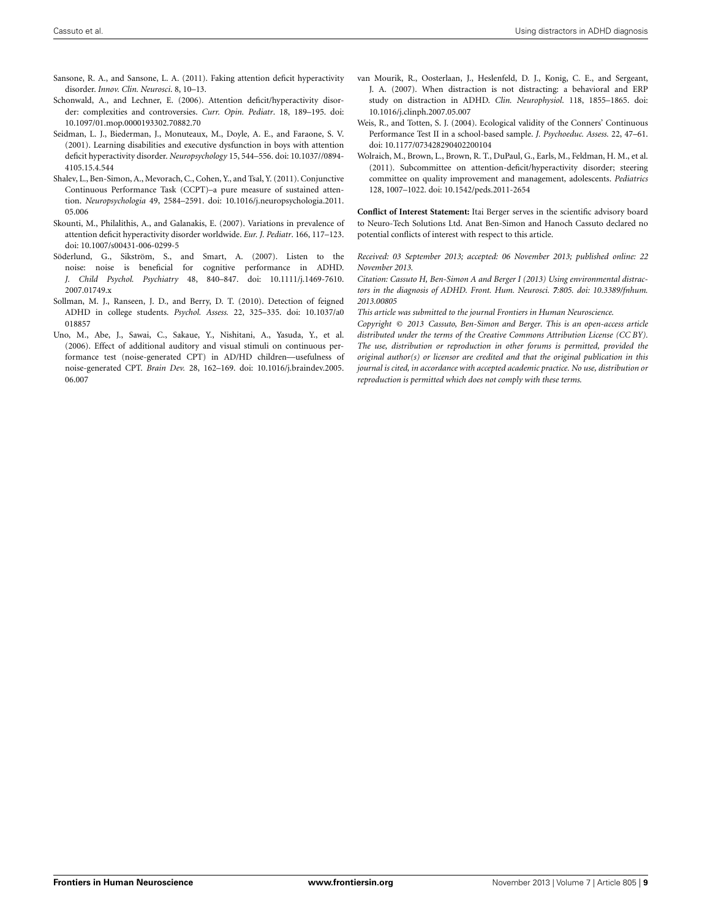<span id="page-8-3"></span>Sansone, R. A., and Sansone, L. A. (2011). Faking attention deficit hyperactivity disorder. *Innov. Clin. Neurosci*. 8, 10–13.

- <span id="page-8-0"></span>Schonwald, A., and Lechner, E. (2006). Attention deficit/hyperactivity disorder: complexities and controversies. *Curr. Opin. Pediatr*. 18, 189–195. doi: 10.1097/01.mop.0000193302.70882.70
- <span id="page-8-9"></span>Seidman, L. J., Biederman, J., Monuteaux, M., Doyle, A. E., and Faraone, S. V. (2001). Learning disabilities and executive dysfunction in boys with attention deficit hyperactivity disorder. *Neuropsychology* 15, 544–556. doi: 10.1037//0894- 4105.15.4.544
- <span id="page-8-5"></span>Shalev, L., Ben-Simon, A., Mevorach, C., Cohen, Y., and Tsal, Y. (2011). Conjunctive Continuous Performance Task (CCPT)–a pure measure of sustained attention. *Neuropsychologia* 49, 2584–2591. doi: 10.1016/j.neuropsychologia.2011. 05.006
- <span id="page-8-4"></span>Skounti, M., Philalithis, A., and Galanakis, E. (2007). Variations in prevalence of attention deficit hyperactivity disorder worldwide. *Eur. J. Pediatr*. 166, 117–123. doi: 10.1007/s00431-006-0299-5
- <span id="page-8-10"></span>Söderlund, G., Sikström, S., and Smart, A. (2007). Listen to the noise: noise is beneficial for cognitive performance in ADHD. *J. Child Psychol. Psychiatry* 48, 840–847. doi: 10.1111/j.1469-7610. 2007.01749.x
- <span id="page-8-2"></span>Sollman, M. J., Ranseen, J. D., and Berry, D. T. (2010). Detection of feigned ADHD in college students. *Psychol. Assess.* 22, 325–335. doi: 10.1037/a0 018857
- <span id="page-8-7"></span>Uno, M., Abe, J., Sawai, C., Sakaue, Y., Nishitani, A., Yasuda, Y., et al. (2006). Effect of additional auditory and visual stimuli on continuous performance test (noise-generated CPT) in AD/HD children—usefulness of noise-generated CPT. *Brain Dev.* 28, 162–169. doi: 10.1016/j.braindev.2005. 06.007
- <span id="page-8-8"></span>van Mourik, R., Oosterlaan, J., Heslenfeld, D. J., Konig, C. E., and Sergeant, J. A. (2007). When distraction is not distracting: a behavioral and ERP study on distraction in ADHD. *Clin. Neurophysiol*. 118, 1855–1865. doi: 10.1016/j.clinph.2007.05.007
- <span id="page-8-6"></span>Weis, R., and Totten, S. J. (2004). Ecological validity of the Conners' Continuous Performance Test II in a school-based sample. *J. Psychoeduc. Assess.* 22, 47–61. doi: 10.1177/073428290402200104
- <span id="page-8-1"></span>Wolraich, M., Brown, L., Brown, R. T., DuPaul, G., Earls, M., Feldman, H. M., et al. (2011). Subcommittee on attention-deficit/hyperactivity disorder; steering committee on quality improvement and management, adolescents. *Pediatrics* 128, 1007–1022. doi: 10.1542/peds.2011-2654

**Conflict of Interest Statement:** Itai Berger serves in the scientific advisory board to Neuro-Tech Solutions Ltd. Anat Ben-Simon and Hanoch Cassuto declared no potential conflicts of interest with respect to this article.

*Received: 03 September 2013; accepted: 06 November 2013; published online: 22 November 2013.*

*Citation: Cassuto H, Ben-Simon A and Berger I (2013) Using environmental distractors in the diagnosis of ADHD. Front. Hum. Neurosci. 7:805. doi: [10.3389/fnhum.](http://dx.doi.org/10.3389/fnhum.2013.00805) [2013.00805](http://dx.doi.org/10.3389/fnhum.2013.00805)*

*This article was submitted to the journal Frontiers in Human Neuroscience.*

*Copyright © 2013 Cassuto, Ben-Simon and Berger. This is an open-access article distributed under the terms of the [Creative Commons Attribution License \(CC BY\).](http://creativecommons.org/licenses/by/3.0/) The use, distribution or reproduction in other forums is permitted, provided the original author(s) or licensor are credited and that the original publication in this journal is cited, in accordance with accepted academic practice. No use, distribution or reproduction is permitted which does not comply with these terms.*